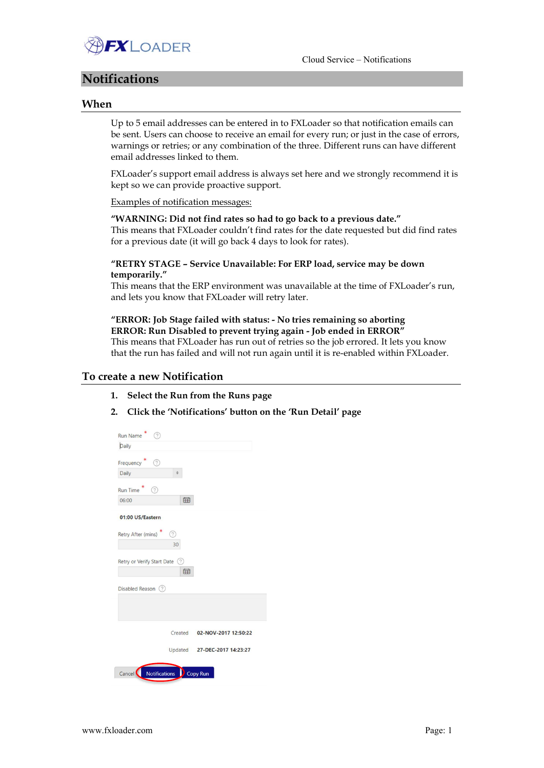

# Notifications

### When

Up to 5 email addresses can be entered in to FXLoader so that notification emails can be sent. Users can choose to receive an email for every run; or just in the case of errors, warnings or retries; or any combination of the three. Different runs can have different email addresses linked to them.

FXLoader's support email address is always set here and we strongly recommend it is kept so we can provide proactive support.

#### Examples of notification messages:

#### "WARNING: Did not find rates so had to go back to a previous date."

This means that FXLoader couldn't find rates for the date requested but did find rates for a previous date (it will go back 4 days to look for rates).

### "RETRY STAGE – Service Unavailable: For ERP load, service may be down temporarily."

This means that the ERP environment was unavailable at the time of FXLoader's run, and lets you know that FXLoader will retry later.

### "ERROR: Job Stage failed with status: - No tries remaining so aborting ERROR: Run Disabled to prevent trying again - Job ended in ERROR"

This means that FXLoader has run out of retries so the job errored. It lets you know that the run has failed and will not run again until it is re-enabled within FXLoader.

#### To create a new Notification

- 1. Select the Run from the Runs page
- 2. Click the 'Notifications' button on the 'Run Detail' page

| <b>Run Name</b><br>7                 |                              |
|--------------------------------------|------------------------------|
| Daily                                |                              |
| ᢙ<br>Frequency                       |                              |
| Daily                                |                              |
| <b>Run Time</b><br>0                 |                              |
| 宙<br>06:00                           |                              |
| 01:00 US/Eastern                     |                              |
| Retry After (mins)<br>?<br>30        |                              |
| Retry or Verify Start Date (?)<br>宙  |                              |
| Disabled Reason (?)                  |                              |
|                                      |                              |
| Created                              | 02-NOV-2017 12:50:22         |
|                                      | Updated 27-DEC-2017 14:23:27 |
| Notifications<br>Cancel <sup>(</sup> | Copy Run                     |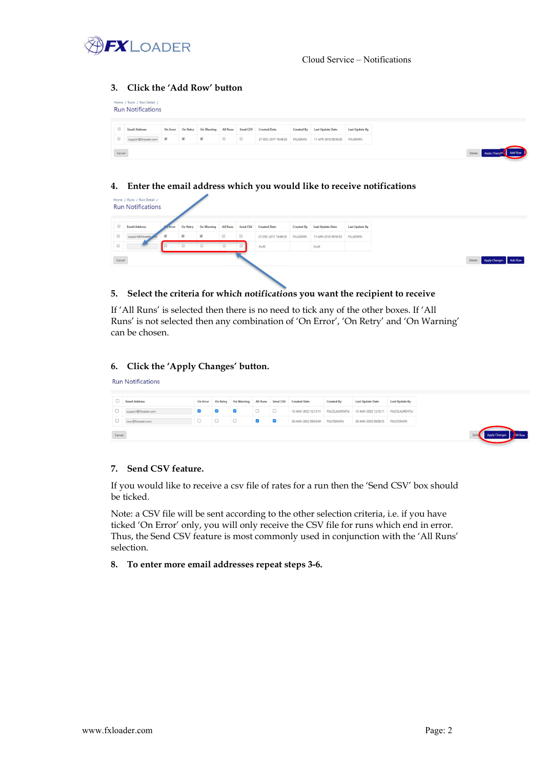

### 3. Click the 'Add Row' button

|   | Home / Runs / Run Detail /<br><b>Run Notifications</b> |                         |                         |                          |                                             |                                             |                      |                 |                      |                |
|---|--------------------------------------------------------|-------------------------|-------------------------|--------------------------|---------------------------------------------|---------------------------------------------|----------------------|-----------------|----------------------|----------------|
|   | <b>Email Address</b>                                   | On Error                | On Retry                | On Warning               | <b>All Runs</b>                             | Send CSV                                    | <b>Created Date</b>  | Created By      | Last Update Date     | Last Update By |
| o | support@fxloader.com                                   | $\overline{\mathbf{S}}$ | $\overline{\mathbf{S}}$ | $\overline{\mathcal{L}}$ | $\qquad \qquad \qquad \qquad \qquad \qquad$ | $\qquad \qquad \qquad \qquad \qquad \qquad$ | 27-DEC-2017 16:48:20 | <b>FXLADMIN</b> | 11-APR-2018 09:50:35 | FXLADMIN       |

### 4. Enter the email address which you would like to receive notifications

| $\qquad \qquad \Box$                                                    | <b>Email Address</b> | a Error                 | On Retry                | On Warning All Runs Send CSV |                                             |        | <b>Created Date</b>  | Created By      | <b>Last Update Date</b> | <b>Last Update By</b> |
|-------------------------------------------------------------------------|----------------------|-------------------------|-------------------------|------------------------------|---------------------------------------------|--------|----------------------|-----------------|-------------------------|-----------------------|
| $\qquad \qquad \qquad \qquad \qquad \qquad \qquad \qquad \qquad \qquad$ | support@fidoader     | $\overline{\mathbf{v}}$ | $\overline{\mathbf{v}}$ | $\overline{\mathcal{L}}$     | $\qquad \qquad \qquad \qquad \qquad \qquad$ | $\Box$ | 27-DEC-2017 16:48:20 | <b>FXLADMIN</b> | 11-APR-2018 09:50:35    | <b>FXLADMIN</b>       |
| $\qquad \qquad \qquad \qquad \qquad \qquad$                             |                      |                         |                         |                              |                                             |        | (null)               |                 | (null)                  |                       |

### 5. Select the criteria for which notifications you want the recipient to receive

If 'All Runs' is selected then there is no need to tick any of the other boxes. If 'All Runs' is not selected then any combination of 'On Error', 'On Retry' and 'On Warning' can be chosen.

### 6. Click the 'Apply Changes' button.

| <b>Run Notifications</b> |  |
|--------------------------|--|
|                          |  |

|        | <b>Email Address</b> | On Error | On Retry | On Warning | <b>All Runs</b> | Send CSV                | <b>Created Date</b>  | Created By            | <b>Last Update Date</b> | Last Update By    |
|--------|----------------------|----------|----------|------------|-----------------|-------------------------|----------------------|-----------------------|-------------------------|-------------------|
|        |                      |          |          |            |                 |                         |                      |                       |                         |                   |
|        | support@fxloader.com | $\sim$   | $\sim$   | M          |                 |                         | 12-MAY-2022 12:15:11 | <b>FXLCSLAURENTIU</b> | 12-MAY-2022 12:15:11    | FXLCSLAURENTIU    |
|        | tony@fxloader.com    |          |          |            |                 | $\overline{\mathbf{v}}$ | 26-MAY-2022 09:03:04 | <b>FXLCSSIMON</b>     | 26-MAY-2022 09:08:53    | <b>FXLCSSIMON</b> |
| Cancel |                      |          |          |            |                 |                         |                      |                       |                         |                   |

#### 7. Send CSV feature.

If you would like to receive a csv file of rates for a run then the 'Send CSV' box should be ticked.

Note: a CSV file will be sent according to the other selection criteria, i.e. if you have ticked 'On Error' only, you will only receive the CSV file for runs which end in error. Thus, the Send CSV feature is most commonly used in conjunction with the 'All Runs' selection.

#### 8. To enter more email addresses repeat steps 3-6.